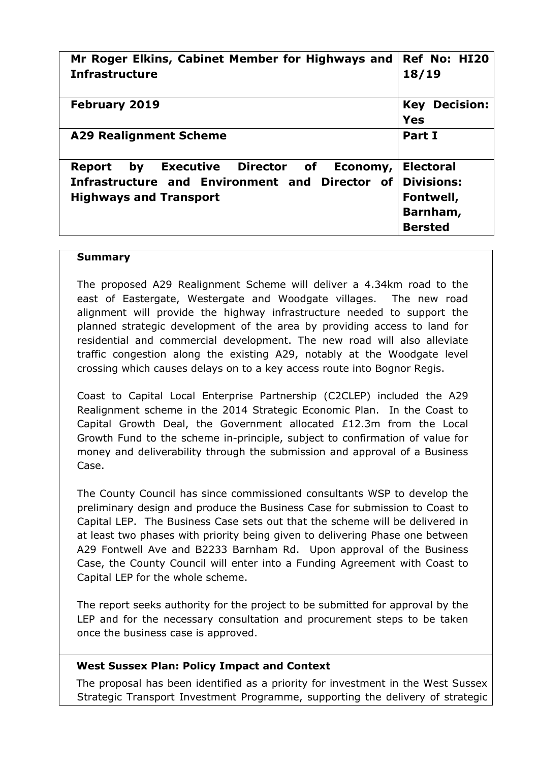| Mr Roger Elkins, Cabinet Member for Highways and<br><b>Infrastructure</b>                                                                          | Ref No: HI20<br>18/19                                                            |
|----------------------------------------------------------------------------------------------------------------------------------------------------|----------------------------------------------------------------------------------|
| <b>February 2019</b>                                                                                                                               | <b>Decision:</b><br>Key<br>Yes                                                   |
| <b>A29 Realignment Scheme</b>                                                                                                                      | Part I                                                                           |
| <b>Executive Director of</b><br>bv<br><b>Report</b><br>Economy,<br>Infrastructure and Environment and Director of<br><b>Highways and Transport</b> | <b>Electoral</b><br><b>Divisions:</b><br>Fontwell,<br>Barnham,<br><b>Bersted</b> |

#### **Summary**

The proposed A29 Realignment Scheme will deliver a 4.34km road to the east of Eastergate, Westergate and Woodgate villages. The new road alignment will provide the highway infrastructure needed to support the planned strategic development of the area by providing access to land for residential and commercial development. The new road will also alleviate traffic congestion along the existing A29, notably at the Woodgate level crossing which causes delays on to a key access route into Bognor Regis.

Coast to Capital Local Enterprise Partnership (C2CLEP) included the A29 Realignment scheme in the 2014 Strategic Economic Plan. In the Coast to Capital Growth Deal, the Government allocated £12.3m from the Local Growth Fund to the scheme in-principle, subject to confirmation of value for money and deliverability through the submission and approval of a Business Case.

The County Council has since commissioned consultants WSP to develop the preliminary design and produce the Business Case for submission to Coast to Capital LEP. The Business Case sets out that the scheme will be delivered in at least two phases with priority being given to delivering Phase one between A29 Fontwell Ave and B2233 Barnham Rd. Upon approval of the Business Case, the County Council will enter into a Funding Agreement with Coast to Capital LEP for the whole scheme.

The report seeks authority for the project to be submitted for approval by the LEP and for the necessary consultation and procurement steps to be taken once the business case is approved.

### **West Sussex Plan: Policy Impact and Context**

The proposal has been identified as a priority for investment in the West Sussex Strategic Transport Investment Programme, supporting the delivery of strategic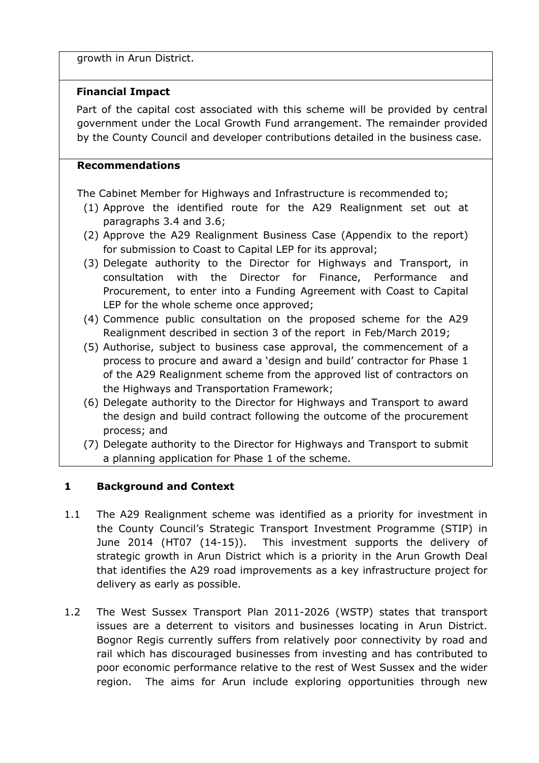growth in Arun District.

# **Financial Impact**

Part of the capital cost associated with this scheme will be provided by central government under the Local Growth Fund arrangement. The remainder provided by the County Council and developer contributions detailed in the business case.

# **Recommendations**

The Cabinet Member for Highways and Infrastructure is recommended to;

- (1) Approve the identified route for the A29 Realignment set out at paragraphs 3.4 and 3.6;
- (2) Approve the A29 Realignment Business Case (Appendix to the report) for submission to Coast to Capital LEP for its approval;
- (3) Delegate authority to the Director for Highways and Transport, in consultation with the Director for Finance, Performance and Procurement, to enter into a Funding Agreement with Coast to Capital LEP for the whole scheme once approved;
- (4) Commence public consultation on the proposed scheme for the A29 Realignment described in section 3 of the report in Feb/March 2019;
- (5) Authorise, subject to business case approval, the commencement of a process to procure and award a 'design and build' contractor for Phase 1 of the A29 Realignment scheme from the approved list of contractors on the Highways and Transportation Framework;
- (6) Delegate authority to the Director for Highways and Transport to award the design and build contract following the outcome of the procurement process; and
- (7) Delegate authority to the Director for Highways and Transport to submit a planning application for Phase 1 of the scheme.

# **1 Background and Context**

- 1.1 The A29 Realignment scheme was identified as a priority for investment in the County Council's Strategic Transport Investment Programme (STIP) in June 2014 (HT07 (14-15)). This investment supports the delivery of strategic growth in Arun District which is a priority in the Arun Growth Deal that identifies the A29 road improvements as a key infrastructure project for delivery as early as possible.
- 1.2 The West Sussex Transport Plan 2011-2026 (WSTP) states that transport issues are a deterrent to visitors and businesses locating in Arun District. Bognor Regis currently suffers from relatively poor connectivity by road and rail which has discouraged businesses from investing and has contributed to poor economic performance relative to the rest of West Sussex and the wider region. The aims for Arun include exploring opportunities through new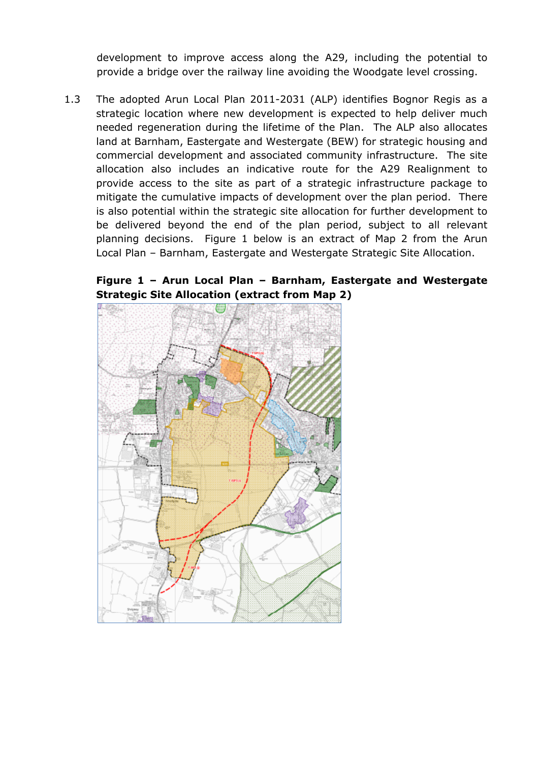development to improve access along the A29, including the potential to provide a bridge over the railway line avoiding the Woodgate level crossing.

1.3 The adopted Arun Local Plan 2011-2031 (ALP) identifies Bognor Regis as a strategic location where new development is expected to help deliver much needed regeneration during the lifetime of the Plan. The ALP also allocates land at Barnham, Eastergate and Westergate (BEW) for strategic housing and commercial development and associated community infrastructure. The site allocation also includes an indicative route for the A29 Realignment to provide access to the site as part of a strategic infrastructure package to mitigate the cumulative impacts of development over the plan period. There is also potential within the strategic site allocation for further development to be delivered beyond the end of the plan period, subject to all relevant planning decisions. Figure 1 below is an extract of Map 2 from the Arun Local Plan – Barnham, Eastergate and Westergate Strategic Site Allocation.

**Figure 1 – Arun Local Plan – Barnham, Eastergate and Westergate Strategic Site Allocation (extract from Map 2)**

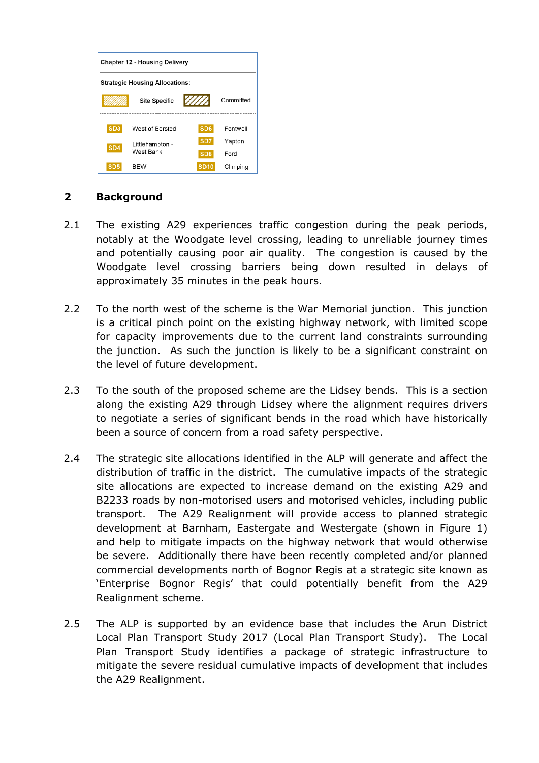

### **2 Background**

- 2.1 The existing A29 experiences traffic congestion during the peak periods, notably at the Woodgate level crossing, leading to unreliable journey times and potentially causing poor air quality. The congestion is caused by the Woodgate level crossing barriers being down resulted in delays of approximately 35 minutes in the peak hours.
- 2.2 To the north west of the scheme is the War Memorial junction. This junction is a critical pinch point on the existing highway network, with limited scope for capacity improvements due to the current land constraints surrounding the junction. As such the junction is likely to be a significant constraint on the level of future development.
- 2.3 To the south of the proposed scheme are the Lidsey bends. This is a section along the existing A29 through Lidsey where the alignment requires drivers to negotiate a series of significant bends in the road which have historically been a source of concern from a road safety perspective.
- 2.4 The strategic site allocations identified in the ALP will generate and affect the distribution of traffic in the district. The cumulative impacts of the strategic site allocations are expected to increase demand on the existing A29 and B2233 roads by non-motorised users and motorised vehicles, including public transport. The A29 Realignment will provide access to planned strategic development at Barnham, Eastergate and Westergate (shown in Figure 1) and help to mitigate impacts on the highway network that would otherwise be severe. Additionally there have been recently completed and/or planned commercial developments north of Bognor Regis at a strategic site known as 'Enterprise Bognor Regis' that could potentially benefit from the A29 Realignment scheme.
- 2.5 The ALP is supported by an evidence base that includes the Arun District Local Plan Transport Study 2017 (Local Plan Transport Study). The Local Plan Transport Study identifies a package of strategic infrastructure to mitigate the severe residual cumulative impacts of development that includes the A29 Realignment.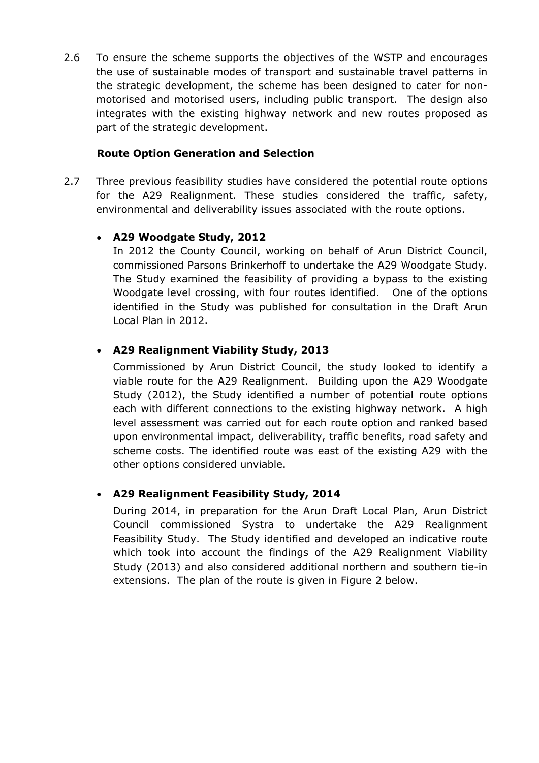2.6 To ensure the scheme supports the objectives of the WSTP and encourages the use of sustainable modes of transport and sustainable travel patterns in the strategic development, the scheme has been designed to cater for nonmotorised and motorised users, including public transport. The design also integrates with the existing highway network and new routes proposed as part of the strategic development.

### **Route Option Generation and Selection**

2.7 Three previous feasibility studies have considered the potential route options for the A29 Realignment. These studies considered the traffic, safety, environmental and deliverability issues associated with the route options.

# **A29 Woodgate Study, 2012**

In 2012 the County Council, working on behalf of Arun District Council, commissioned Parsons Brinkerhoff to undertake the A29 Woodgate Study. The Study examined the feasibility of providing a bypass to the existing Woodgate level crossing, with four routes identified. One of the options identified in the Study was published for consultation in the Draft Arun Local Plan in 2012.

# **A29 Realignment Viability Study, 2013**

Commissioned by Arun District Council, the study looked to identify a viable route for the A29 Realignment. Building upon the A29 Woodgate Study (2012), the Study identified a number of potential route options each with different connections to the existing highway network. A high level assessment was carried out for each route option and ranked based upon environmental impact, deliverability, traffic benefits, road safety and scheme costs. The identified route was east of the existing A29 with the other options considered unviable.

# **A29 Realignment Feasibility Study, 2014**

During 2014, in preparation for the Arun Draft Local Plan, Arun District Council commissioned Systra to undertake the A29 Realignment Feasibility Study. The Study identified and developed an indicative route which took into account the findings of the A29 Realignment Viability Study (2013) and also considered additional northern and southern tie-in extensions. The plan of the route is given in Figure 2 below.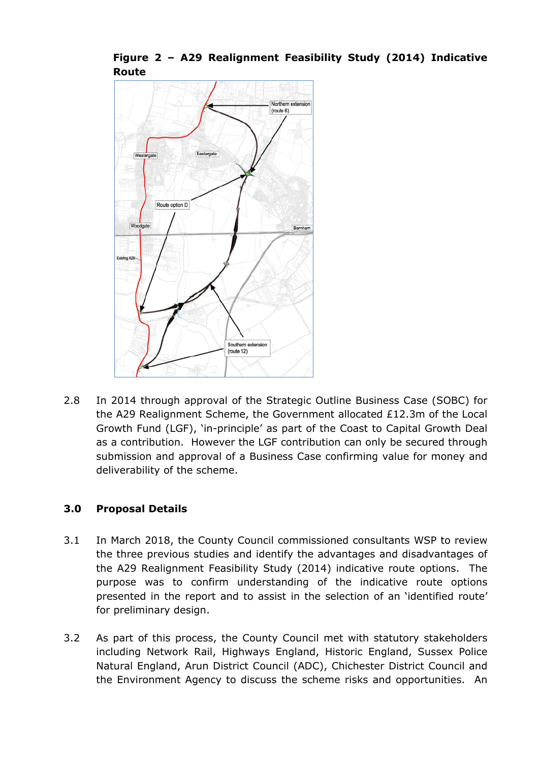



2.8 In 2014 through approval of the Strategic Outline Business Case (SOBC) for the A29 Realignment Scheme, the Government allocated £12.3m of the Local Growth Fund (LGF), 'in-principle' as part of the Coast to Capital Growth Deal as a contribution. However the LGF contribution can only be secured through submission and approval of a Business Case confirming value for money and deliverability of the scheme.

# **3.0 Proposal Details**

- 3.1 In March 2018, the County Council commissioned consultants WSP to review the three previous studies and identify the advantages and disadvantages of the A29 Realignment Feasibility Study (2014) indicative route options. The purpose was to confirm understanding of the indicative route options presented in the report and to assist in the selection of an 'identified route' for preliminary design.
- 3.2 As part of this process, the County Council met with statutory stakeholders including Network Rail, Highways England, Historic England, Sussex Police Natural England, Arun District Council (ADC), Chichester District Council and the Environment Agency to discuss the scheme risks and opportunities. An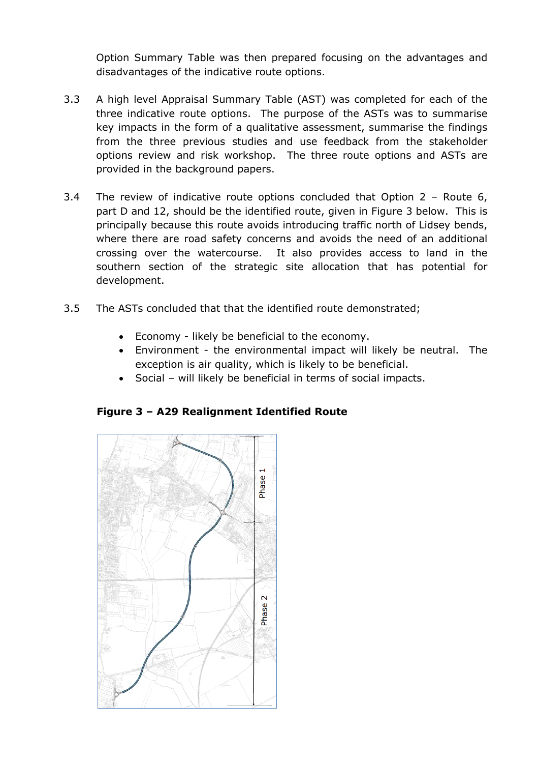Option Summary Table was then prepared focusing on the advantages and disadvantages of the indicative route options.

- 3.3 A high level Appraisal Summary Table (AST) was completed for each of the three indicative route options. The purpose of the ASTs was to summarise key impacts in the form of a qualitative assessment, summarise the findings from the three previous studies and use feedback from the stakeholder options review and risk workshop. The three route options and ASTs are provided in the background papers.
- 3.4 The review of indicative route options concluded that Option 2 Route 6, part D and 12, should be the identified route, given in Figure 3 below. This is principally because this route avoids introducing traffic north of Lidsey bends, where there are road safety concerns and avoids the need of an additional crossing over the watercourse. It also provides access to land in the southern section of the strategic site allocation that has potential for development.
- 3.5 The ASTs concluded that that the identified route demonstrated;
	- Economy likely be beneficial to the economy.
	- Environment the environmental impact will likely be neutral. The exception is air quality, which is likely to be beneficial.
	- Social will likely be beneficial in terms of social impacts.



# **Figure 3 – A29 Realignment Identified Route**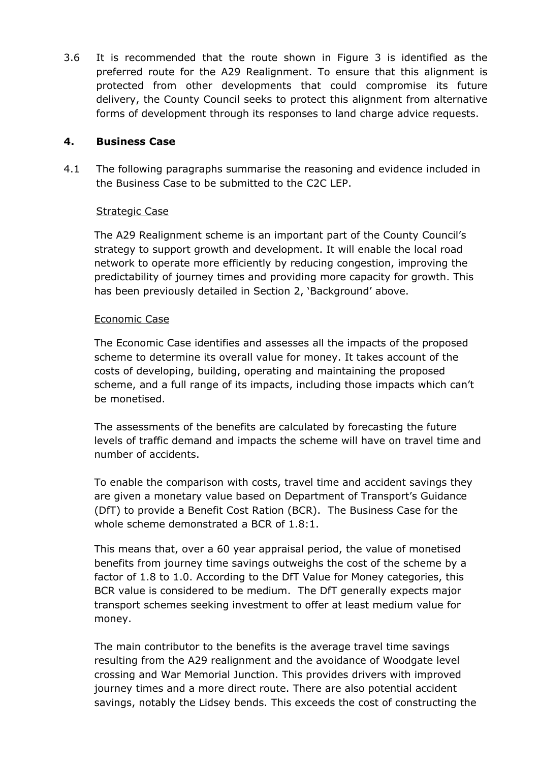3.6 It is recommended that the route shown in Figure 3 is identified as the preferred route for the A29 Realignment. To ensure that this alignment is protected from other developments that could compromise its future delivery, the County Council seeks to protect this alignment from alternative forms of development through its responses to land charge advice requests.

# **4. Business Case**

4.1 The following paragraphs summarise the reasoning and evidence included in the Business Case to be submitted to the C2C LEP.

# Strategic Case

The A29 Realignment scheme is an important part of the County Council's strategy to support growth and development. It will enable the local road network to operate more efficiently by reducing congestion, improving the predictability of journey times and providing more capacity for growth. This has been previously detailed in Section 2, 'Background' above.

### Economic Case

The Economic Case identifies and assesses all the impacts of the proposed scheme to determine its overall value for money. It takes account of the costs of developing, building, operating and maintaining the proposed scheme, and a full range of its impacts, including those impacts which can't be monetised.

The assessments of the benefits are calculated by forecasting the future levels of traffic demand and impacts the scheme will have on travel time and number of accidents.

To enable the comparison with costs, travel time and accident savings they are given a monetary value based on Department of Transport's Guidance (DfT) to provide a Benefit Cost Ration (BCR). The Business Case for the whole scheme demonstrated a BCR of 1.8:1.

This means that, over a 60 year appraisal period, the value of monetised benefits from journey time savings outweighs the cost of the scheme by a factor of 1.8 to 1.0. According to the DfT Value for Money categories, this BCR value is considered to be medium. The DfT generally expects major transport schemes seeking investment to offer at least medium value for money.

The main contributor to the benefits is the average travel time savings resulting from the A29 realignment and the avoidance of Woodgate level crossing and War Memorial Junction. This provides drivers with improved journey times and a more direct route. There are also potential accident savings, notably the Lidsey bends. This exceeds the cost of constructing the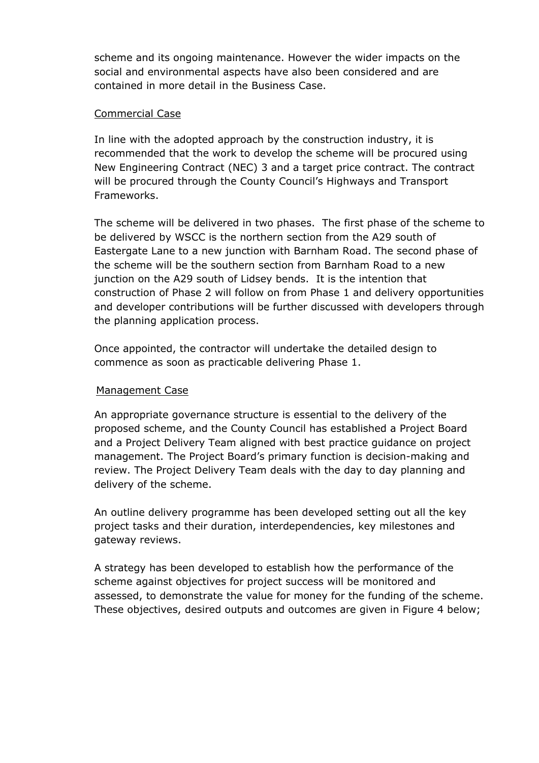scheme and its ongoing maintenance. However the wider impacts on the social and environmental aspects have also been considered and are contained in more detail in the Business Case.

### Commercial Case

In line with the adopted approach by the construction industry, it is recommended that the work to develop the scheme will be procured using New Engineering Contract (NEC) 3 and a target price contract. The contract will be procured through the County Council's Highways and Transport Frameworks.

The scheme will be delivered in two phases. The first phase of the scheme to be delivered by WSCC is the northern section from the A29 south of Eastergate Lane to a new junction with Barnham Road. The second phase of the scheme will be the southern section from Barnham Road to a new junction on the A29 south of Lidsey bends. It is the intention that construction of Phase 2 will follow on from Phase 1 and delivery opportunities and developer contributions will be further discussed with developers through the planning application process.

Once appointed, the contractor will undertake the detailed design to commence as soon as practicable delivering Phase 1.

### Management Case

An appropriate governance structure is essential to the delivery of the proposed scheme, and the County Council has established a Project Board and a Project Delivery Team aligned with best practice guidance on project management. The Project Board's primary function is decision-making and review. The Project Delivery Team deals with the day to day planning and delivery of the scheme.

An outline delivery programme has been developed setting out all the key project tasks and their duration, interdependencies, key milestones and gateway reviews.

A strategy has been developed to establish how the performance of the scheme against objectives for project success will be monitored and assessed, to demonstrate the value for money for the funding of the scheme. These objectives, desired outputs and outcomes are given in Figure 4 below;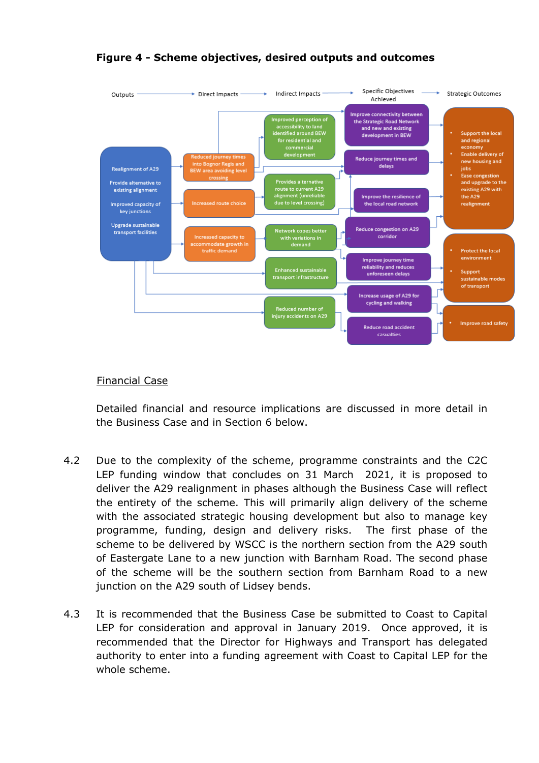

### **Figure 4 - Scheme objectives, desired outputs and outcomes**

### Financial Case

Detailed financial and resource implications are discussed in more detail in the Business Case and in Section 6 below.

- 4.2 Due to the complexity of the scheme, programme constraints and the C2C LEP funding window that concludes on 31 March 2021, it is proposed to deliver the A29 realignment in phases although the Business Case will reflect the entirety of the scheme. This will primarily align delivery of the scheme with the associated strategic housing development but also to manage key programme, funding, design and delivery risks. The first phase of the scheme to be delivered by WSCC is the northern section from the A29 south of Eastergate Lane to a new junction with Barnham Road. The second phase of the scheme will be the southern section from Barnham Road to a new junction on the A29 south of Lidsey bends.
- 4.3 It is recommended that the Business Case be submitted to Coast to Capital LEP for consideration and approval in January 2019. Once approved, it is recommended that the Director for Highways and Transport has delegated authority to enter into a funding agreement with Coast to Capital LEP for the whole scheme.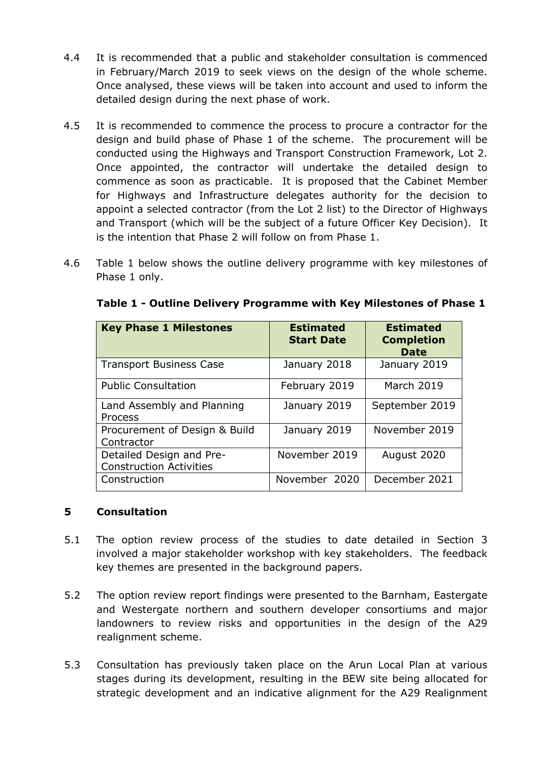- 4.4 It is recommended that a public and stakeholder consultation is commenced in February/March 2019 to seek views on the design of the whole scheme. Once analysed, these views will be taken into account and used to inform the detailed design during the next phase of work.
- 4.5 It is recommended to commence the process to procure a contractor for the design and build phase of Phase 1 of the scheme. The procurement will be conducted using the Highways and Transport Construction Framework, Lot 2. Once appointed, the contractor will undertake the detailed design to commence as soon as practicable. It is proposed that the Cabinet Member for Highways and Infrastructure delegates authority for the decision to appoint a selected contractor (from the Lot 2 list) to the Director of Highways and Transport (which will be the subject of a future Officer Key Decision). It is the intention that Phase 2 will follow on from Phase 1.
- 4.6 Table 1 below shows the outline delivery programme with key milestones of Phase 1 only.

| <b>Key Phase 1 Milestones</b>                              | <b>Estimated</b><br><b>Start Date</b> | <b>Estimated</b><br><b>Completion</b><br><b>Date</b> |
|------------------------------------------------------------|---------------------------------------|------------------------------------------------------|
| <b>Transport Business Case</b>                             | January 2018                          | January 2019                                         |
| <b>Public Consultation</b>                                 | February 2019                         | <b>March 2019</b>                                    |
| Land Assembly and Planning<br>Process                      | January 2019                          | September 2019                                       |
| Procurement of Design & Build<br>Contractor                | January 2019                          | November 2019                                        |
| Detailed Design and Pre-<br><b>Construction Activities</b> | November 2019                         | August 2020                                          |
| Construction                                               | November 2020                         | December 2021                                        |

**Table 1 - Outline Delivery Programme with Key Milestones of Phase 1**

# **5 Consultation**

- 5.1 The option review process of the studies to date detailed in Section 3 involved a major stakeholder workshop with key stakeholders. The feedback key themes are presented in the background papers.
- 5.2 The option review report findings were presented to the Barnham, Eastergate and Westergate northern and southern developer consortiums and major landowners to review risks and opportunities in the design of the A29 realignment scheme.
- 5.3 Consultation has previously taken place on the Arun Local Plan at various stages during its development, resulting in the BEW site being allocated for strategic development and an indicative alignment for the A29 Realignment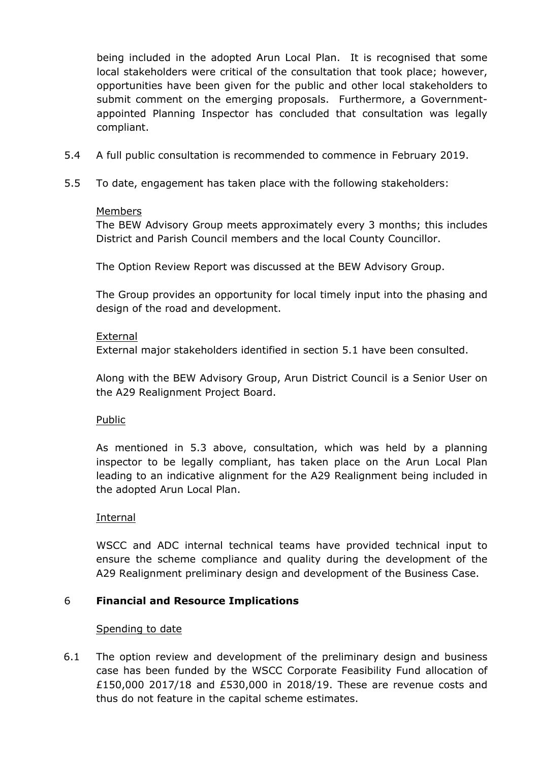being included in the adopted Arun Local Plan. It is recognised that some local stakeholders were critical of the consultation that took place; however, opportunities have been given for the public and other local stakeholders to submit comment on the emerging proposals. Furthermore, a Governmentappointed Planning Inspector has concluded that consultation was legally compliant.

- 5.4 A full public consultation is recommended to commence in February 2019.
- 5.5 To date, engagement has taken place with the following stakeholders:

#### Members

The BEW Advisory Group meets approximately every 3 months; this includes District and Parish Council members and the local County Councillor.

The Option Review Report was discussed at the BEW Advisory Group.

The Group provides an opportunity for local timely input into the phasing and design of the road and development.

#### External

External major stakeholders identified in section 5.1 have been consulted.

Along with the BEW Advisory Group, Arun District Council is a Senior User on the A29 Realignment Project Board.

### Public

As mentioned in 5.3 above, consultation, which was held by a planning inspector to be legally compliant, has taken place on the Arun Local Plan leading to an indicative alignment for the A29 Realignment being included in the adopted Arun Local Plan.

### Internal

WSCC and ADC internal technical teams have provided technical input to ensure the scheme compliance and quality during the development of the A29 Realignment preliminary design and development of the Business Case.

### 6 **Financial and Resource Implications**

### Spending to date

6.1 The option review and development of the preliminary design and business case has been funded by the WSCC Corporate Feasibility Fund allocation of £150,000 2017/18 and £530,000 in 2018/19. These are revenue costs and thus do not feature in the capital scheme estimates.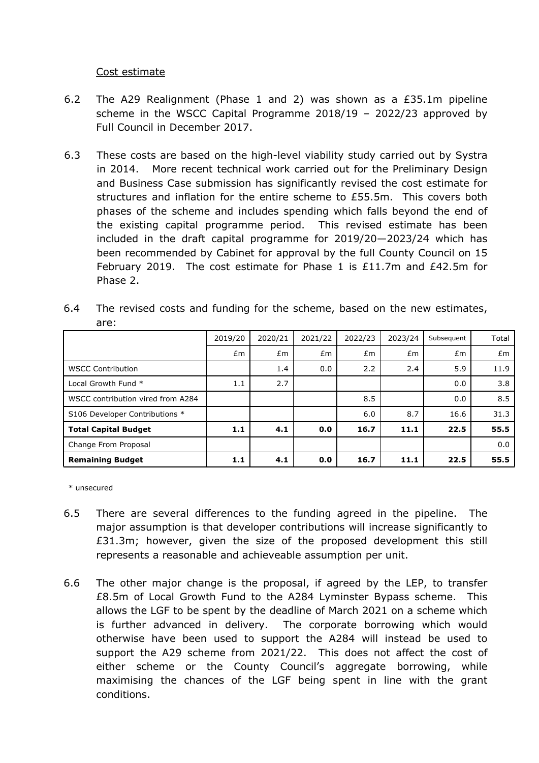#### Cost estimate

- 6.2 The A29 Realignment (Phase 1 and 2) was shown as a £35.1m pipeline scheme in the WSCC Capital Programme 2018/19 – 2022/23 approved by Full Council in December 2017.
- 6.3 These costs are based on the high-level viability study carried out by Systra in 2014. More recent technical work carried out for the Preliminary Design and Business Case submission has significantly revised the cost estimate for structures and inflation for the entire scheme to £55.5m. This covers both phases of the scheme and includes spending which falls beyond the end of the existing capital programme period. This revised estimate has been included in the draft capital programme for 2019/20—2023/24 which has been recommended by Cabinet for approval by the full County Council on 15 February 2019. The cost estimate for Phase 1 is  $£11.7m$  and  $£42.5m$  for Phase 2.

|                                   | 2019/20 | 2020/21 | 2021/22 | 2022/23 | 2023/24 | Subsequent | Total |
|-----------------------------------|---------|---------|---------|---------|---------|------------|-------|
|                                   | Em      | Em      | Em      | Em      | £m      | Em         | Em    |
| <b>WSCC Contribution</b>          |         | 1.4     | 0.0     | 2.2     | 2.4     | 5.9        | 11.9  |
| Local Growth Fund *               | 1.1     | 2.7     |         |         |         | 0.0        | 3.8   |
| WSCC contribution vired from A284 |         |         |         | 8.5     |         | 0.0        | 8.5   |
| S106 Developer Contributions *    |         |         |         | 6.0     | 8.7     | 16.6       | 31.3  |
| <b>Total Capital Budget</b>       | 1.1     | 4.1     | 0.0     | 16.7    | 11.1    | 22.5       | 55.5  |
| Change From Proposal              |         |         |         |         |         |            | 0.0   |
| <b>Remaining Budget</b>           | 1.1     | 4.1     | 0.0     | 16.7    | 11.1    | 22.5       | 55.5  |

6.4 The revised costs and funding for the scheme, based on the new estimates, are:

\* unsecured

- 6.5 There are several differences to the funding agreed in the pipeline. The major assumption is that developer contributions will increase significantly to £31.3m; however, given the size of the proposed development this still represents a reasonable and achieveable assumption per unit.
- 6.6 The other major change is the proposal, if agreed by the LEP, to transfer £8.5m of Local Growth Fund to the A284 Lyminster Bypass scheme. This allows the LGF to be spent by the deadline of March 2021 on a scheme which is further advanced in delivery. The corporate borrowing which would otherwise have been used to support the A284 will instead be used to support the A29 scheme from 2021/22. This does not affect the cost of either scheme or the County Council's aggregate borrowing, while maximising the chances of the LGF being spent in line with the grant conditions.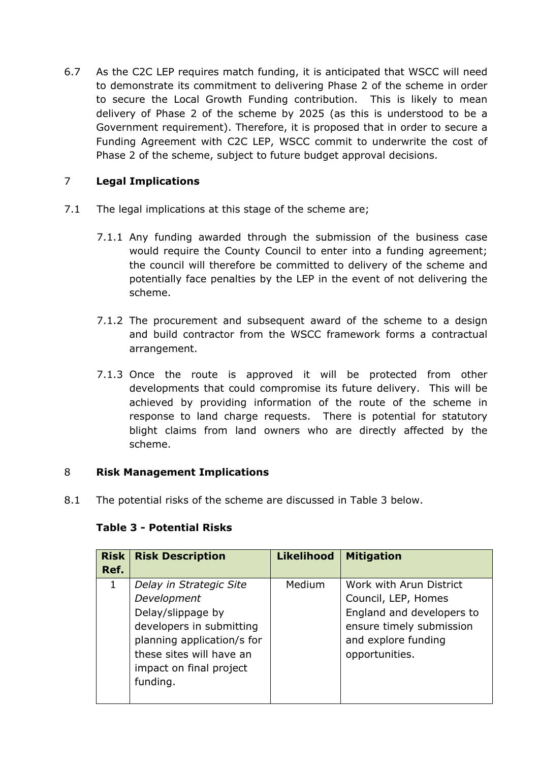6.7 As the C2C LEP requires match funding, it is anticipated that WSCC will need to demonstrate its commitment to delivering Phase 2 of the scheme in order to secure the Local Growth Funding contribution. This is likely to mean delivery of Phase 2 of the scheme by 2025 (as this is understood to be a Government requirement). Therefore, it is proposed that in order to secure a Funding Agreement with C2C LEP, WSCC commit to underwrite the cost of Phase 2 of the scheme, subject to future budget approval decisions.

# 7 **Legal Implications**

- 7.1 The legal implications at this stage of the scheme are;
	- 7.1.1 Any funding awarded through the submission of the business case would require the County Council to enter into a funding agreement; the council will therefore be committed to delivery of the scheme and potentially face penalties by the LEP in the event of not delivering the scheme.
	- 7.1.2 The procurement and subsequent award of the scheme to a design and build contractor from the WSCC framework forms a contractual arrangement.
	- 7.1.3 Once the route is approved it will be protected from other developments that could compromise its future delivery. This will be achieved by providing information of the route of the scheme in response to land charge requests. There is potential for statutory blight claims from land owners who are directly affected by the scheme.

# 8 **Risk Management Implications**

8.1 The potential risks of the scheme are discussed in Table 3 below.

| <b>Risk</b><br>Ref. | <b>Risk Description</b>                                                                                                                                                                  | <b>Likelihood</b> | <b>Mitigation</b>                                                                                                                                |
|---------------------|------------------------------------------------------------------------------------------------------------------------------------------------------------------------------------------|-------------------|--------------------------------------------------------------------------------------------------------------------------------------------------|
| 1                   | Delay in Strategic Site<br>Development<br>Delay/slippage by<br>developers in submitting<br>planning application/s for<br>these sites will have an<br>impact on final project<br>funding. | Medium            | Work with Arun District<br>Council, LEP, Homes<br>England and developers to<br>ensure timely submission<br>and explore funding<br>opportunities. |

# **Table 3 - Potential Risks**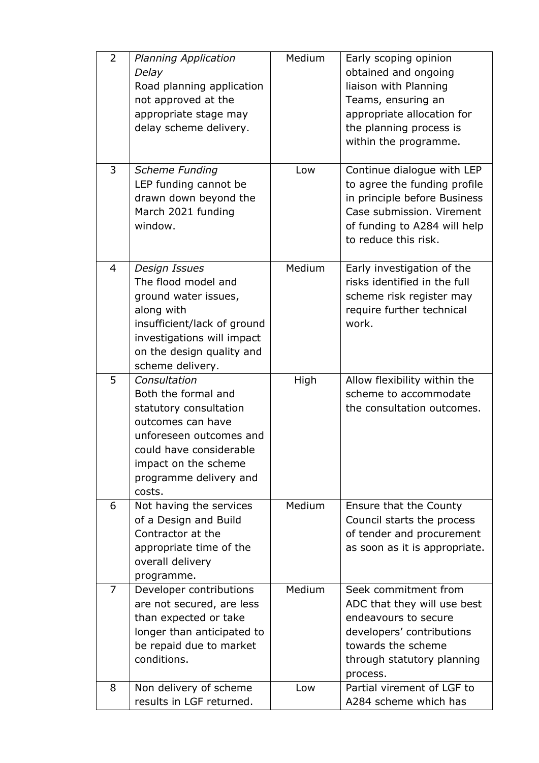| $\overline{2}$ | <b>Planning Application</b><br>Delay<br>Road planning application<br>not approved at the<br>appropriate stage may<br>delay scheme delivery.                                                          | Medium | Early scoping opinion<br>obtained and ongoing<br>liaison with Planning<br>Teams, ensuring an<br>appropriate allocation for<br>the planning process is<br>within the programme.  |
|----------------|------------------------------------------------------------------------------------------------------------------------------------------------------------------------------------------------------|--------|---------------------------------------------------------------------------------------------------------------------------------------------------------------------------------|
| 3              | <b>Scheme Funding</b><br>LEP funding cannot be<br>drawn down beyond the<br>March 2021 funding<br>window.                                                                                             | Low    | Continue dialogue with LEP<br>to agree the funding profile<br>in principle before Business<br>Case submission. Virement<br>of funding to A284 will help<br>to reduce this risk. |
| $\overline{4}$ | <b>Design Issues</b><br>The flood model and<br>ground water issues,<br>along with<br>insufficient/lack of ground<br>investigations will impact<br>on the design quality and<br>scheme delivery.      | Medium | Early investigation of the<br>risks identified in the full<br>scheme risk register may<br>require further technical<br>work.                                                    |
| 5              | Consultation<br>Both the formal and<br>statutory consultation<br>outcomes can have<br>unforeseen outcomes and<br>could have considerable<br>impact on the scheme<br>programme delivery and<br>costs. | High   | Allow flexibility within the<br>scheme to accommodate<br>the consultation outcomes.                                                                                             |
| 6              | Not having the services<br>of a Design and Build<br>Contractor at the<br>appropriate time of the<br>overall delivery<br>programme.                                                                   | Medium | Ensure that the County<br>Council starts the process<br>of tender and procurement<br>as soon as it is appropriate.                                                              |
| $\overline{7}$ | Developer contributions<br>are not secured, are less<br>than expected or take<br>longer than anticipated to<br>be repaid due to market<br>conditions.                                                | Medium | Seek commitment from<br>ADC that they will use best<br>endeavours to secure<br>developers' contributions<br>towards the scheme<br>through statutory planning<br>process.        |
| 8              | Non delivery of scheme<br>results in LGF returned.                                                                                                                                                   | Low    | Partial virement of LGF to<br>A284 scheme which has                                                                                                                             |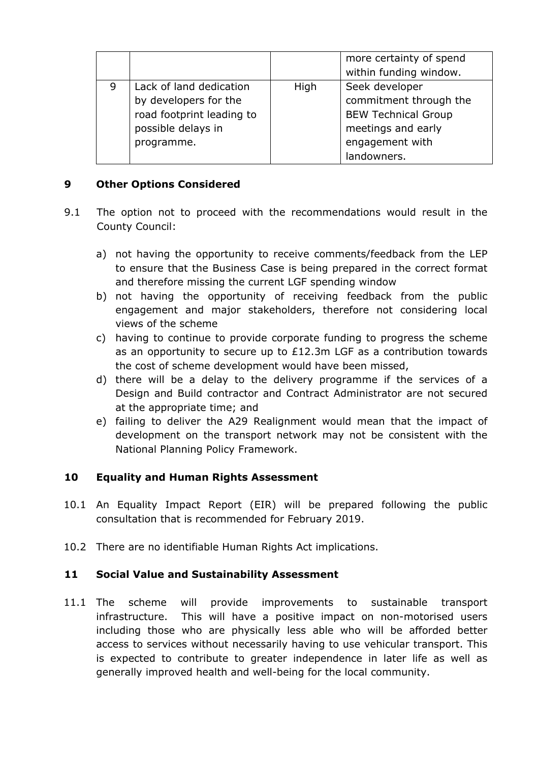|   |                           |      | more certainty of spend<br>within funding window. |
|---|---------------------------|------|---------------------------------------------------|
| 9 | Lack of land dedication   | High | Seek developer                                    |
|   | by developers for the     |      | commitment through the                            |
|   | road footprint leading to |      | <b>BEW Technical Group</b>                        |
|   | possible delays in        |      | meetings and early                                |
|   | programme.                |      | engagement with                                   |
|   |                           |      | landowners.                                       |

### **9 Other Options Considered**

- 9.1 The option not to proceed with the recommendations would result in the County Council:
	- a) not having the opportunity to receive comments/feedback from the LEP to ensure that the Business Case is being prepared in the correct format and therefore missing the current LGF spending window
	- b) not having the opportunity of receiving feedback from the public engagement and major stakeholders, therefore not considering local views of the scheme
	- c) having to continue to provide corporate funding to progress the scheme as an opportunity to secure up to £12.3m LGF as a contribution towards the cost of scheme development would have been missed,
	- d) there will be a delay to the delivery programme if the services of a Design and Build contractor and Contract Administrator are not secured at the appropriate time; and
	- e) failing to deliver the A29 Realignment would mean that the impact of development on the transport network may not be consistent with the National Planning Policy Framework.

# **10 Equality and Human Rights Assessment**

- 10.1 An Equality Impact Report (EIR) will be prepared following the public consultation that is recommended for February 2019.
- 10.2 There are no identifiable Human Rights Act implications.

### **11 Social Value and Sustainability Assessment**

11.1 The scheme will provide improvements to sustainable transport infrastructure. This will have a positive impact on non-motorised users including those who are physically less able who will be afforded better access to services without necessarily having to use vehicular transport. This is expected to contribute to greater independence in later life as well as generally improved health and well-being for the local community.